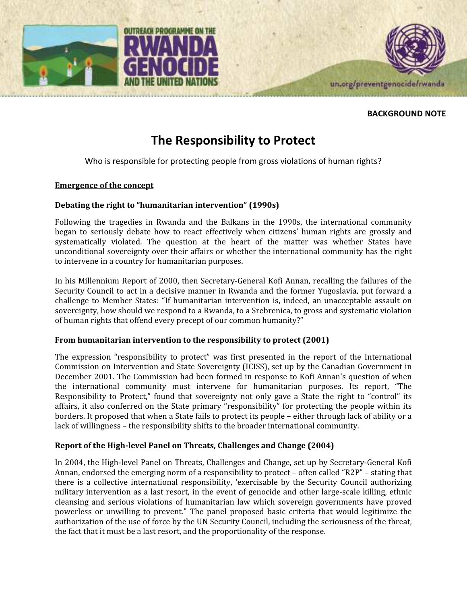



## BACKGROUND NOTE

# The Responsibility to Protect

Who is responsible for protecting people from gross violations of human rights?

## Emergence of the concept

# Debating the right to "humanitarian intervention" (1990s)

Following the tragedies in Rwanda and the Balkans in the 1990s, the international community began to seriously debate how to react effectively when citizens' human rights are grossly and systematically violated. The question at the heart of the matter was whether States have unconditional sovereignty over their affairs or whether the international community has the right to intervene in a country for humanitarian purposes.

In his Millennium Report of 2000, then Secretary-General Kofi Annan, recalling the failures of the Security Council to act in a decisive manner in Rwanda and the former Yugoslavia, put forward a challenge to Member States: "If humanitarian intervention is, indeed, an unacceptable assault on sovereignty, how should we respond to a Rwanda, to a Srebrenica, to gross and systematic violation of human rights that offend every precept of our common humanity?"

# From humanitarian intervention to the responsibility to protect (2001)

The expression "responsibility to protect" was first presented in the report of the International Commission on Intervention and State Sovereignty (ICISS), set up by the Canadian Government in December 2001. The Commission had been formed in response to Kofi Annan's question of when the international community must intervene for humanitarian purposes. Its report, "The Responsibility to Protect," found that sovereignty not only gave a State the right to "control" its affairs, it also conferred on the State primary "responsibility" for protecting the people within its borders. It proposed that when a State fails to protect its people – either through lack of ability or a lack of willingness – the responsibility shifts to the broader international community.

# Report of the High-level Panel on Threats, Challenges and Change (2004)

In 2004, the High-level Panel on Threats, Challenges and Change, set up by Secretary-General Kofi Annan, endorsed the emerging norm of a responsibility to protect – often called "R2P" – stating that there is a collective international responsibility, 'exercisable by the Security Council authorizing military intervention as a last resort, in the event of genocide and other large-scale killing, ethnic cleansing and serious violations of humanitarian law which sovereign governments have proved powerless or unwilling to prevent." The panel proposed basic criteria that would legitimize the authorization of the use of force by the UN Security Council, including the seriousness of the threat, the fact that it must be a last resort, and the proportionality of the response.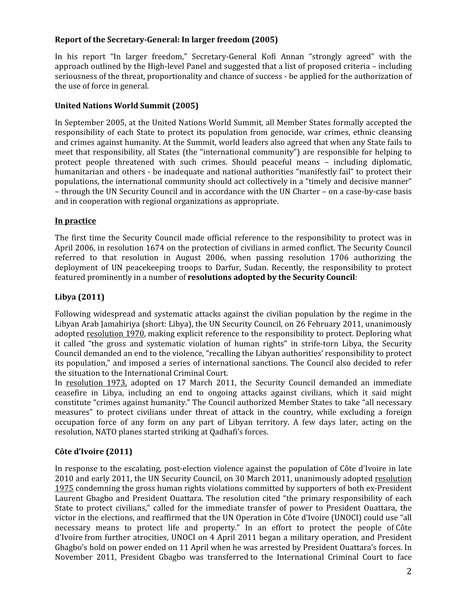# Report of the Secretary-General: In larger freedom (2005)

In his report "In larger freedom," Secretary-General Kofi Annan "strongly agreed" with the approach outlined by the High-level Panel and suggested that a list of proposed criteria – including seriousness of the threat, proportionality and chance of success - be applied for the authorization of the use of force in general.

# United Nations World Summit (2005)

In September 2005, at the United Nations World Summit, all Member States formally accepted the responsibility of each State to protect its population from genocide, war crimes, ethnic cleansing and crimes against humanity. At the Summit, world leaders also agreed that when any State fails to meet that responsibility, all States (the "international community") are responsible for helping to protect people threatened with such crimes. Should peaceful means – including diplomatic, humanitarian and others - be inadequate and national authorities "manifestly fail" to protect their populations, the international community should act collectively in a "timely and decisive manner" – through the UN Security Council and in accordance with the UN Charter – on a case-by-case basis and in cooperation with regional organizations as appropriate.

## In practice

The first time the Security Council made official reference to the responsibility to protect was in April 2006, in resolution 1674 on the protection of civilians in armed conflict. The Security Council referred to that resolution in August 2006, when passing resolution 1706 authorizing the deployment of UN peacekeeping troops to Darfur, Sudan. Recently, the responsibility to protect featured prominently in a number of resolutions adopted by the Security Council:

# Libya (2011)

Following widespread and systematic attacks against the civilian population by the regime in the Libyan Arab Jamahiriya (short: Libya), the UN Security Council, on 26 February 2011, unanimously adopted resolution 1970, making explicit reference to the responsibility to protect. Deploring what it called "the gross and systematic violation of human rights" in strife-torn Libya, the Security Council demanded an end to the violence, "recalling the Libyan authorities' responsibility to protect its population," and imposed a series of international sanctions. The Council also decided to refer the situation to the International Criminal Court.

In resolution 1973, adopted on 17 March 2011, the Security Council demanded an immediate ceasefire in Libya, including an end to ongoing attacks against civilians, which it said might constitute "crimes against humanity." The Council authorized Member States to take "all necessary measures" to protect civilians under threat of attack in the country, while excluding a foreign occupation force of any form on any part of Libyan territory. A few days later, acting on the resolution, NATO planes started striking at Qadhafi's forces.

# Côte d'Ivoire (2011)

In response to the escalating, post-election violence against the population of Côte d'Ivoire in late 2010 and early 2011, the UN Security Council, on 30 March 2011, unanimously adopted resolution 1975 condemning the gross human rights violations committed by supporters of both ex-President Laurent Gbagbo and President Ouattara. The resolution cited "the primary responsibility of each State to protect civilians," called for the immediate transfer of power to President Ouattara, the victor in the elections, and reaffirmed that the UN Operation in Côte d'Ivoire (UNOCI) could use "all necessary means to protect life and property." In an effort to protect the people of Côte d'Ivoire from further atrocities, UNOCI on 4 April 2011 began a military operation, and President Gbagbo's hold on power ended on 11 April when he was arrested by President Ouattara's forces. In November 2011, President Gbagbo was transferred to the International Criminal Court to face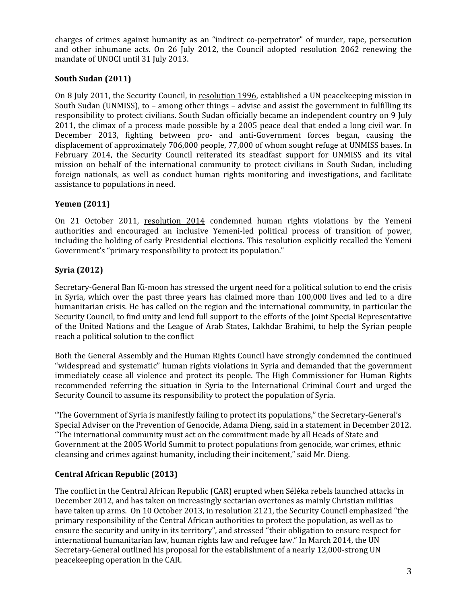charges of crimes against humanity as an "indirect co-perpetrator" of murder, rape, persecution and other inhumane acts. On 26 July 2012, the Council adopted resolution 2062 renewing the mandate of UNOCI until 31 July 2013.

# South Sudan (2011)

On 8 July 2011, the Security Council, in resolution 1996, established a UN peacekeeping mission in South Sudan (UNMISS), to – among other things – advise and assist the government in fulfilling its responsibility to protect civilians. South Sudan officially became an independent country on 9 July 2011, the climax of a process made possible by a 2005 peace deal that ended a long civil war. In December 2013, fighting between pro- and anti-Government forces began, causing the displacement of approximately 706,000 people, 77,000 of whom sought refuge at UNMISS bases. In February 2014, the Security Council reiterated its steadfast support for UNMISS and its vital mission on behalf of the international community to protect civilians in South Sudan, including foreign nationals, as well as conduct human rights monitoring and investigations, and facilitate assistance to populations in need.

# Yemen (2011)

On 21 October 2011, resolution 2014 condemned human rights violations by the Yemeni authorities and encouraged an inclusive Yemeni-led political process of transition of power, including the holding of early Presidential elections. This resolution explicitly recalled the Yemeni Government's "primary responsibility to protect its population."

# Syria (2012)

Secretary-General Ban Ki-moon has stressed the urgent need for a political solution to end the crisis in Syria, which over the past three years has claimed more than 100,000 lives and led to a dire humanitarian crisis. He has called on the region and the international community, in particular the Security Council, to find unity and lend full support to the efforts of the Joint Special Representative of the United Nations and the League of Arab States, Lakhdar Brahimi, to help the Syrian people reach a political solution to the conflict

Both the General Assembly and the Human Rights Council have strongly condemned the continued "widespread and systematic" human rights violations in Syria and demanded that the government immediately cease all violence and protect its people. The High Commissioner for Human Rights recommended referring the situation in Syria to the International Criminal Court and urged the Security Council to assume its responsibility to protect the population of Syria.

"The Government of Syria is manifestly failing to protect its populations," the Secretary-General's Special Adviser on the Prevention of Genocide, Adama Dieng, said in a statement in December 2012. "The international community must act on the commitment made by all Heads of State and Government at the 2005 World Summit to protect populations from genocide, war crimes, ethnic cleansing and crimes against humanity, including their incitement," said Mr. Dieng.

# Central African Republic (2013)

The conflict in the Central African Republic (CAR) erupted when Séléka rebels launched attacks in December 2012, and has taken on increasingly sectarian overtones as mainly Christian militias have taken up arms. On 10 October 2013, in resolution 2121, the Security Council emphasized "the primary responsibility of the Central African authorities to protect the population, as well as to ensure the security and unity in its territory", and stressed "their obligation to ensure respect for international humanitarian law, human rights law and refugee law." In March 2014, the UN Secretary-General outlined his proposal for the establishment of a nearly 12,000-strong UN peacekeeping operation in the CAR.